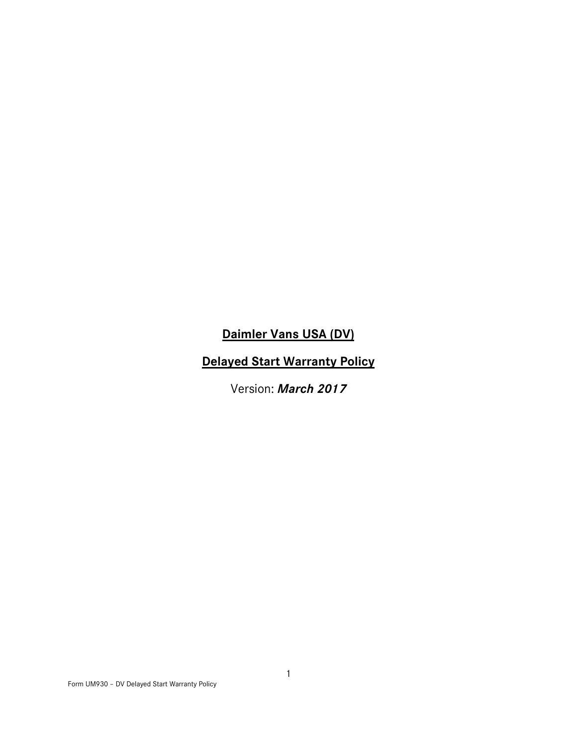# **Daimler Vans USA (DV)**

# **Delayed Start Warranty Policy**

Version: *March 2017*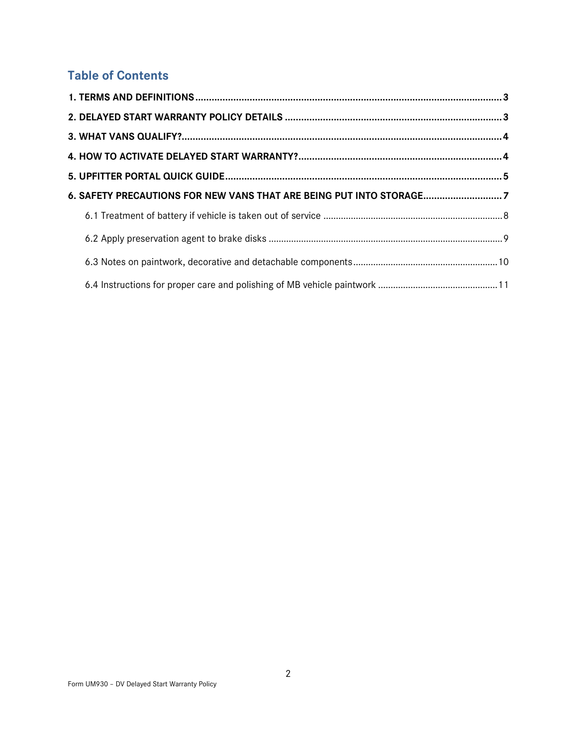# **Table of Contents**

| 6. SAFETY PRECAUTIONS FOR NEW VANS THAT ARE BEING PUT INTO STORAGE7 |  |
|---------------------------------------------------------------------|--|
|                                                                     |  |
|                                                                     |  |
|                                                                     |  |
|                                                                     |  |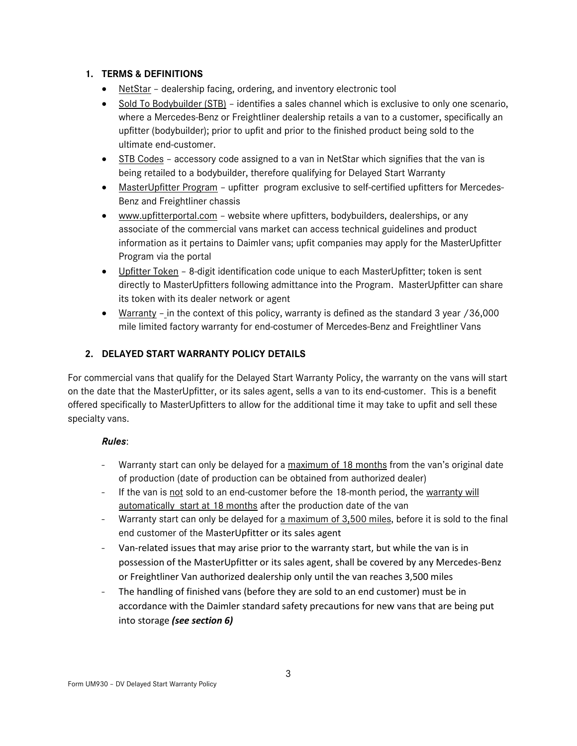## **1. TERMS & DEFINITIONS**

- NetStar dealership facing, ordering, and inventory electronic tool
- Sold To Bodybuilder (STB) identifies a sales channel which is exclusive to only one scenario, where a Mercedes-Benz or Freightliner dealership retails a van to a customer, specifically an upfitter (bodybuilder); prior to upfit and prior to the finished product being sold to the ultimate end-customer.
- STB Codes accessory code assigned to a van in NetStar which signifies that the van is being retailed to a bodybuilder, therefore qualifying for Delayed Start Warranty
- MasterUpfitter Program upfitter program exclusive to self-certified upfitters for Mercedes-Benz and Freightliner chassis
- www.upfitterportal.com website where upfitters, bodybuilders, dealerships, or any associate of the commercial vans market can access technical guidelines and product information as it pertains to Daimler vans; upfit companies may apply for the MasterUpfitter Program via the portal
- Upfitter Token 8-digit identification code unique to each MasterUpfitter; token is sent directly to MasterUpfitters following admittance into the Program. MasterUpfitter can share its token with its dealer network or agent
- Warranty in the context of this policy, warranty is defined as the standard 3 year /36,000 mile limited factory warranty for end-costumer of Mercedes-Benz and Freightliner Vans

# **2. DELAYED START WARRANTY POLICY DETAILS**

For commercial vans that qualify for the Delayed Start Warranty Policy, the warranty on the vans will start on the date that the MasterUpfitter, or its sales agent, sells a van to its end-customer. This is a benefit offered specifically to MasterUpfitters to allow for the additional time it may take to upfit and sell these specialty vans.

# *Rules*:

- Warranty start can only be delayed for a maximum of 18 months from the van's original date of production (date of production can be obtained from authorized dealer)
- If the van is not sold to an end-customer before the 18-month period, the warranty will automatically start at 18 months after the production date of the van
- Warranty start can only be delayed for a maximum of 3,500 miles, before it is sold to the final end customer of the MasterUpfitter or its sales agent
- Van-related issues that may arise prior to the warranty start, but while the van is in possession of the MasterUpfitter or its sales agent, shall be covered by any Mercedes-Benz or Freightliner Van authorized dealership only until the van reaches 3,500 miles
- The handling of finished vans (before they are sold to an end customer) must be in accordance with the Daimler standard safety precautions for new vans that are being put into storage *(see section 6)*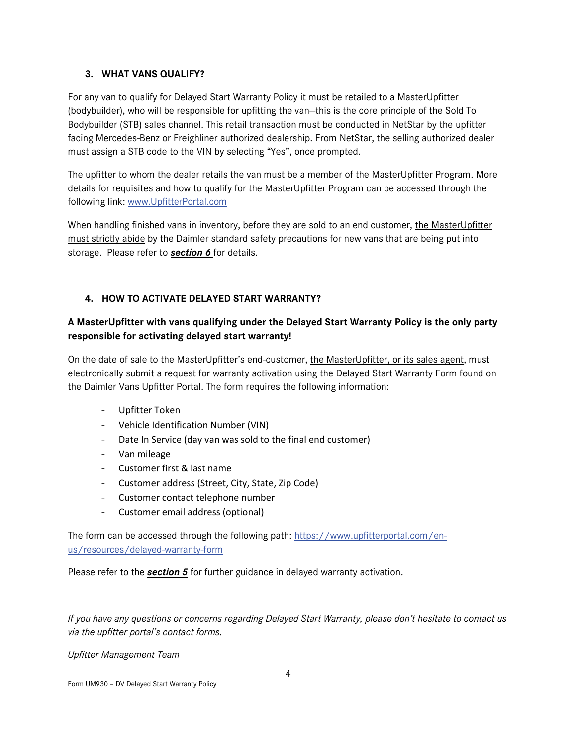## **3. WHAT VANS QUALIFY?**

For any van to qualify for Delayed Start Warranty Policy it must be retailed to a MasterUpfitter (bodybuilder), who will be responsible for upfitting the van—this is the core principle of the Sold To Bodybuilder (STB) sales channel. This retail transaction must be conducted in NetStar by the upfitter facing Mercedes-Benz or Freighliner authorized dealership. From NetStar, the selling authorized dealer must assign a STB code to the VIN by selecting "Yes", once prompted.

The upfitter to whom the dealer retails the van must be a member of the MasterUpfitter Program. More details for requisites and how to qualify for the MasterUpfitter Program can be accessed through the following link: [www.UpfitterPortal.com](http://www.upfitterportal.com/)

When handling finished vans in inventory, before they are sold to an end customer, the MasterUpfitter must strictly abide by the Daimler standard safety precautions for new vans that are being put into storage. Please refer to *section 6* for details.

# **4. HOW TO ACTIVATE DELAYED START WARRANTY?**

# **A MasterUpfitter with vans qualifying under the Delayed Start Warranty Policy is the only party responsible for activating delayed start warranty!**

On the date of sale to the MasterUpfitter's end-customer, the MasterUpfitter, or its sales agent, must electronically submit a request for warranty activation using the Delayed Start Warranty Form found on the Daimler Vans Upfitter Portal. The form requires the following information:

- Upfitter Token
- Vehicle Identification Number (VIN)
- Date In Service (day van was sold to the final end customer)
- Van mileage
- Customer first & last name
- Customer address (Street, City, State, Zip Code)
- Customer contact telephone number
- Customer email address (optional)

The form can be accessed through the following path: [https://www.upfitterportal.com/en](https://www.upfitterportal.com/en-us/resources/delayed-warranty-form)[us/resources/delayed-warranty-form](https://www.upfitterportal.com/en-us/resources/delayed-warranty-form)

Please refer to the *section 5* for further guidance in delayed warranty activation.

*If you have any questions or concerns regarding Delayed Start Warranty, please don't hesitate to contact us via the upfitter portal's contact forms.*

*Upfitter Management Team*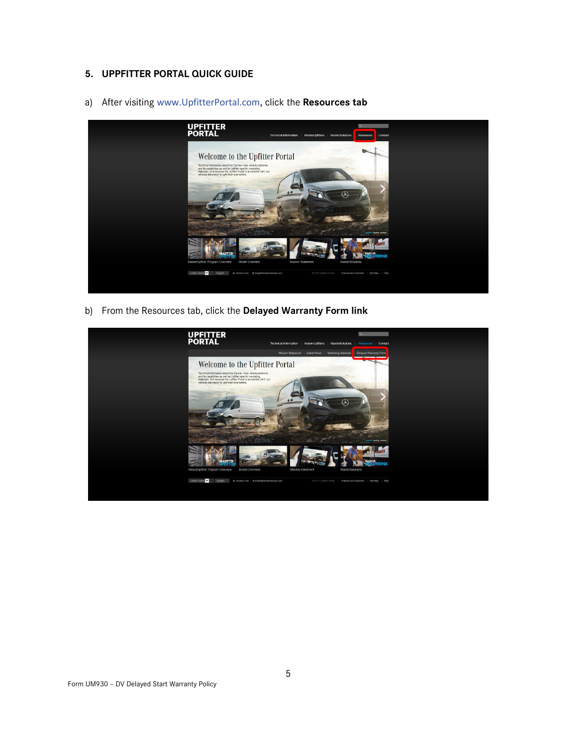# **5. UPPFITTER PORTAL QUICK GUIDE**

a) After visiting [www.UpfitterPortal.com](http://www.upfitterportal.com/), click the **Resources tab**



b) From the Resources tab, click the **Delayed Warranty Form link**

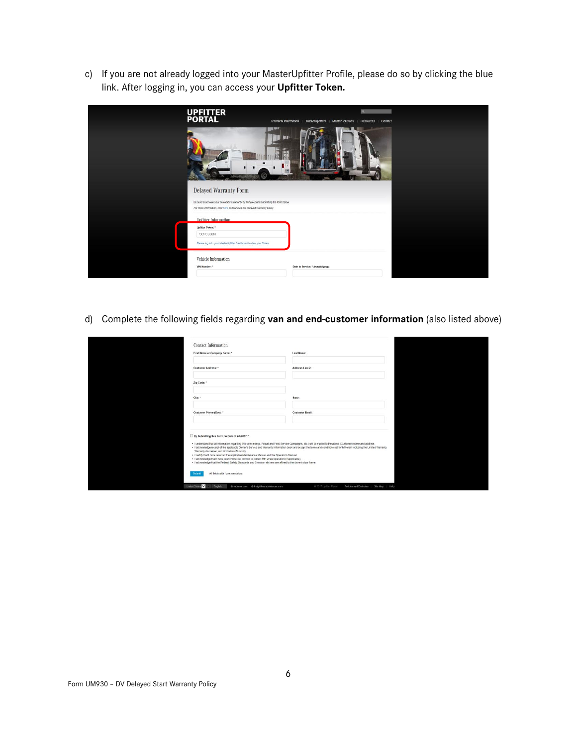c) If you are not already logged into your MasterUpfitter Profile, please do so by clicking the blue link. After logging in, you can access your **Upfitter Token.**

| <b>UPFITTER<br/>PORTAL</b><br><b>Technical Information</b>                                                                                                              | MasterUpfitters<br><b>MasterSolutions</b><br>Resources<br>Contact |
|-------------------------------------------------------------------------------------------------------------------------------------------------------------------------|-------------------------------------------------------------------|
| <b>MOL</b>                                                                                                                                                              |                                                                   |
| <b>Delayed Warranty Form</b>                                                                                                                                            |                                                                   |
| Be sure to activate your customer's warranty by filling out and submitting the form below.<br>For more information, click here to download the Delayed Warranty policy. |                                                                   |
| Upfitter Information                                                                                                                                                    |                                                                   |
| Upfitter Token: *<br><b>SCFCDGBK</b>                                                                                                                                    |                                                                   |
| Please log in to your MasterUpfitter Dashboard to view your Token.                                                                                                      |                                                                   |
| Vehicle Information                                                                                                                                                     |                                                                   |
| VIN Number: *                                                                                                                                                           | Date in Service: * (mm/dd/yyyy)                                   |

d) Complete the following fields regarding **van and end-customer information** (also listed above)

| First Name or Company Name: *                                                                       | Last Name:                                                                                                                                                                                                                                                                                                                                                                                                                                             |  |
|-----------------------------------------------------------------------------------------------------|--------------------------------------------------------------------------------------------------------------------------------------------------------------------------------------------------------------------------------------------------------------------------------------------------------------------------------------------------------------------------------------------------------------------------------------------------------|--|
| Customer Address: *                                                                                 | Address Line 2:                                                                                                                                                                                                                                                                                                                                                                                                                                        |  |
| Zip Code:"                                                                                          |                                                                                                                                                                                                                                                                                                                                                                                                                                                        |  |
| City:"                                                                                              | State:                                                                                                                                                                                                                                                                                                                                                                                                                                                 |  |
| Customer Phone (Day): *                                                                             | <b>Customer Email:</b>                                                                                                                                                                                                                                                                                                                                                                                                                                 |  |
| By Submitting this Form on Date of 2/8/2017: *<br>Warranty disclaimer, and Limitation of Liability. | . I understand that all information regarding this vehicle (e.g., Recall and Field Service Campaigns, etc.) will be malled to the above (Customer) name and address.<br>. I acknowledge receipt of the applicable Owner's Service and Warranty Information book and accept the terms and conditions set forth therein including the Limited Warranty,<br>. I certify that I have received the applicable Maintenance Manual and the Operator's Manual. |  |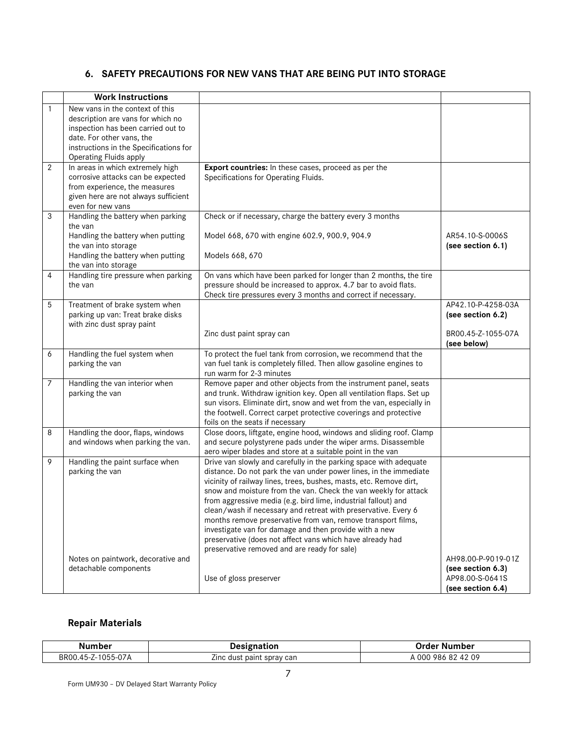# **6. SAFETY PRECAUTIONS FOR NEW VANS THAT ARE BEING PUT INTO STORAGE**

|                | <b>Work Instructions</b>                                               |                                                                                                                                      |                                      |
|----------------|------------------------------------------------------------------------|--------------------------------------------------------------------------------------------------------------------------------------|--------------------------------------|
|                | New vans in the context of this                                        |                                                                                                                                      |                                      |
| 1              | description are vans for which no                                      |                                                                                                                                      |                                      |
|                | inspection has been carried out to                                     |                                                                                                                                      |                                      |
|                | date. For other vans, the                                              |                                                                                                                                      |                                      |
|                | instructions in the Specifications for                                 |                                                                                                                                      |                                      |
|                | <b>Operating Fluids apply</b>                                          |                                                                                                                                      |                                      |
| 2              | In areas in which extremely high                                       | Export countries: In these cases, proceed as per the                                                                                 |                                      |
|                | corrosive attacks can be expected                                      | Specifications for Operating Fluids.                                                                                                 |                                      |
|                | from experience, the measures                                          |                                                                                                                                      |                                      |
|                | given here are not always sufficient                                   |                                                                                                                                      |                                      |
|                | even for new vans                                                      |                                                                                                                                      |                                      |
| 3              | Handling the battery when parking                                      | Check or if necessary, charge the battery every 3 months                                                                             |                                      |
|                | the van                                                                |                                                                                                                                      |                                      |
|                | Handling the battery when putting                                      | Model 668, 670 with engine 602.9, 900.9, 904.9                                                                                       | AR54.10-S-0006S                      |
|                | the van into storage                                                   |                                                                                                                                      | (see section 6.1)                    |
|                | Handling the battery when putting                                      | Models 668, 670                                                                                                                      |                                      |
|                | the van into storage                                                   |                                                                                                                                      |                                      |
| 4              | Handling tire pressure when parking<br>the van                         | On vans which have been parked for longer than 2 months, the tire<br>pressure should be increased to approx. 4.7 bar to avoid flats. |                                      |
|                |                                                                        | Check tire pressures every 3 months and correct if necessary.                                                                        |                                      |
| 5              | Treatment of brake system when                                         |                                                                                                                                      | AP42.10-P-4258-03A                   |
|                | parking up van: Treat brake disks                                      |                                                                                                                                      | (see section 6.2)                    |
|                | with zinc dust spray paint                                             |                                                                                                                                      |                                      |
|                |                                                                        | Zinc dust paint spray can                                                                                                            | BR00.45-Z-1055-07A                   |
|                |                                                                        |                                                                                                                                      | (see below)                          |
| 6              | Handling the fuel system when                                          | To protect the fuel tank from corrosion, we recommend that the                                                                       |                                      |
|                | parking the van                                                        | van fuel tank is completely filled. Then allow gasoline engines to                                                                   |                                      |
|                |                                                                        | run warm for 2-3 minutes                                                                                                             |                                      |
| $\overline{7}$ | Handling the van interior when                                         | Remove paper and other objects from the instrument panel, seats                                                                      |                                      |
|                | parking the van                                                        | and trunk. Withdraw ignition key. Open all ventilation flaps. Set up                                                                 |                                      |
|                |                                                                        | sun visors. Eliminate dirt, snow and wet from the van, especially in                                                                 |                                      |
|                |                                                                        | the footwell. Correct carpet protective coverings and protective                                                                     |                                      |
|                |                                                                        | foils on the seats if necessary                                                                                                      |                                      |
| 8              | Handling the door, flaps, windows<br>and windows when parking the van. | Close doors, liftgate, engine hood, windows and sliding roof. Clamp<br>and secure polystyrene pads under the wiper arms. Disassemble |                                      |
|                |                                                                        | aero wiper blades and store at a suitable point in the van                                                                           |                                      |
| 9              | Handling the paint surface when                                        | Drive van slowly and carefully in the parking space with adequate                                                                    |                                      |
|                | parking the van                                                        | distance. Do not park the van under power lines, in the immediate                                                                    |                                      |
|                |                                                                        | vicinity of railway lines, trees, bushes, masts, etc. Remove dirt,                                                                   |                                      |
|                |                                                                        | snow and moisture from the van. Check the van weekly for attack                                                                      |                                      |
|                |                                                                        | from aggressive media (e.g. bird lime, industrial fallout) and                                                                       |                                      |
|                |                                                                        | clean/wash if necessary and retreat with preservative. Every 6                                                                       |                                      |
|                |                                                                        | months remove preservative from van, remove transport films,                                                                         |                                      |
|                |                                                                        | investigate van for damage and then provide with a new                                                                               |                                      |
|                |                                                                        | preservative (does not affect vans which have already had                                                                            |                                      |
|                |                                                                        | preservative removed and are ready for sale)                                                                                         |                                      |
|                | Notes on paintwork, decorative and<br>detachable components            |                                                                                                                                      | AH98.00-P-9019-01Z                   |
|                |                                                                        |                                                                                                                                      | (see section 6.3)<br>AP98.00-S-0641S |
|                |                                                                        | Use of gloss preserver                                                                                                               | (see section 6.4)                    |
|                |                                                                        |                                                                                                                                      |                                      |

# **Repair Materials**

| Number             | Jacianation<br>uon                              | วrder .<br>Number                   |
|--------------------|-------------------------------------------------|-------------------------------------|
| BR00.45-Z-1055-07A | $- \cdot$<br>spray can<br>∠ınc<br>paint<br>dust | 42 09<br>A 000<br>ററ<br>986<br>` o∠ |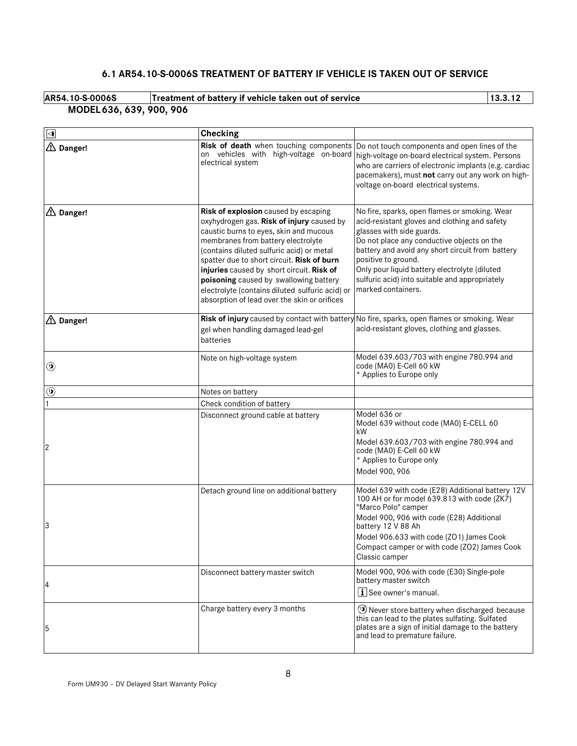# **6.1 AR54.10-S-0006S TREATMENT OF BATTERY IF VEHICLE IS TAKEN OUT OF SERVICE**

| AR54.10-S-0006S          | Treatment of battery if vehicle taken out of service | 13.3.12 |
|--------------------------|------------------------------------------------------|---------|
| MODEL 636, 639, 900, 906 |                                                      |         |

| ∣⊲                  | <b>Checking</b>                                                                                                                                                                                                                                                                                                                                                                                                                                        |                                                                                                                                                                                                                                                                                                                                                                               |
|---------------------|--------------------------------------------------------------------------------------------------------------------------------------------------------------------------------------------------------------------------------------------------------------------------------------------------------------------------------------------------------------------------------------------------------------------------------------------------------|-------------------------------------------------------------------------------------------------------------------------------------------------------------------------------------------------------------------------------------------------------------------------------------------------------------------------------------------------------------------------------|
| △ Danger!           | Risk of death when touching components<br>on vehicles with high-voltage on-board<br>electrical system                                                                                                                                                                                                                                                                                                                                                  | Do not touch components and open lines of the<br>high-voltage on-board electrical system. Persons<br>who are carriers of electronic implants (e.g. cardiac<br>pacemakers), must not carry out any work on high-<br>voltage on-board electrical systems.                                                                                                                       |
| △ Danger!           | Risk of explosion caused by escaping<br>oxyhydrogen gas. Risk of injury caused by<br>caustic burns to eyes, skin and mucous<br>membranes from battery electrolyte<br>(contains diluted sulfuric acid) or metal<br>spatter due to short circuit. Risk of burn<br>injuries caused by short circuit. Risk of<br>poisoning caused by swallowing battery<br>electrolyte (contains diluted sulfuric acid) or<br>absorption of lead over the skin or orifices | No fire, sparks, open flames or smoking. Wear<br>acid-resistant gloves and clothing and safety<br>glasses with side guards.<br>Do not place any conductive objects on the<br>battery and avoid any short circuit from battery<br>positive to ground.<br>Only pour liquid battery electrolyte (diluted<br>sulfuric acid) into suitable and appropriately<br>marked containers. |
| $\triangle$ Danger! | gel when handling damaged lead-gel<br>batteries                                                                                                                                                                                                                                                                                                                                                                                                        | Risk of injury caused by contact with battery No fire, sparks, open flames or smoking. Wear<br>acid-resistant gloves, clothing and glasses.                                                                                                                                                                                                                                   |
| ◉                   | Note on high-voltage system                                                                                                                                                                                                                                                                                                                                                                                                                            | Model 639.603/703 with engine 780.994 and<br>code (MA0) E-Cell 60 kW<br>* Applies to Europe only                                                                                                                                                                                                                                                                              |
| ◉                   | Notes on battery                                                                                                                                                                                                                                                                                                                                                                                                                                       |                                                                                                                                                                                                                                                                                                                                                                               |
|                     | Check condition of battery                                                                                                                                                                                                                                                                                                                                                                                                                             |                                                                                                                                                                                                                                                                                                                                                                               |
| <b>2</b>            | Disconnect ground cable at battery                                                                                                                                                                                                                                                                                                                                                                                                                     | Model 636 or<br>Model 639 without code (MA0) E-CELL 60<br>kW<br>Model 639.603/703 with engine 780.994 and<br>code (MA0) E-Cell 60 kW<br>* Applies to Europe only<br>Model 900, 906                                                                                                                                                                                            |
| 3                   | Detach ground line on additional battery                                                                                                                                                                                                                                                                                                                                                                                                               | Model 639 with code (E28) Additional battery 12V<br>100 AH or for model 639.813 with code (ZK7)<br>"Marco Polo" camper<br>Model 900, 906 with code (E28) Additional<br>battery 12 V 88 Ah<br>Model 906.633 with code (ZO1) James Cook<br>Compact camper or with code (ZO2) James Cook<br>Classic camper                                                                       |
| 4                   | Disconnect battery master switch                                                                                                                                                                                                                                                                                                                                                                                                                       | Model 900, 906 with code (E30) Single-pole<br>battery master switch<br>i See owner's manual.                                                                                                                                                                                                                                                                                  |
| 5                   | Charge battery every 3 months                                                                                                                                                                                                                                                                                                                                                                                                                          | O Never store battery when discharged because<br>this can lead to the plates sulfating. Sulfated<br>plates are a sign of initial damage to the battery<br>and lead to premature failure.                                                                                                                                                                                      |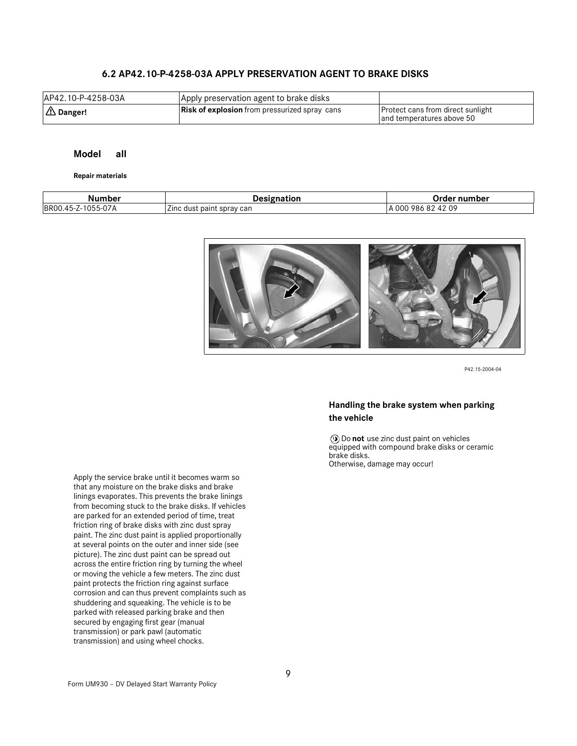## **6.2 AP42.10-P-4258-03A APPLY PRESERVATION AGENT TO BRAKE DISKS**

| AP42.10-P-4258-03A | Apply preservation agent to brake disks              |                                                                       |
|--------------------|------------------------------------------------------|-----------------------------------------------------------------------|
| $\Delta$ Danger!   | <b>Risk of explosion</b> from pressurized spray cans | <b>Protect cans from direct sunlight</b><br>and temperatures above 50 |
|                    |                                                      |                                                                       |

#### **Model all**

#### **Repair materials**

| Number                                      | natior                                  | Order number                  |
|---------------------------------------------|-----------------------------------------|-------------------------------|
| $\sim$ $-$<br><b>BROO</b><br>.45-Z-1055-07A | --<br>: paint sprav can<br>Zinc<br>dust | : 42 09<br>A 000<br>986<br>8Z |



P42.15-2004-04

### **Handling the brake system when parking the vehicle**

Do **not** use zinc dust paint on vehicles equipped with compound brake disks or ceramic brake disks. Otherwise, damage may occur!

Apply the service brake until it becomes warm so that any moisture on the brake disks and brake linings evaporates. This prevents the brake linings from becoming stuck to the brake disks. If vehicles are parked for an extended period of time, treat friction ring of brake disks with zinc dust spray paint. The zinc dust paint is applied proportionally at several points on the outer and inner side (see picture). The zinc dust paint can be spread out across the entire friction ring by turning the wheel or moving the vehicle a few meters. The zinc dust paint protects the friction ring against surface corrosion and can thus prevent complaints such as shuddering and squeaking. The vehicle is to be parked with released parking brake and then secured by engaging first gear (manual transmission) or park pawl (automatic transmission) and using wheel chocks.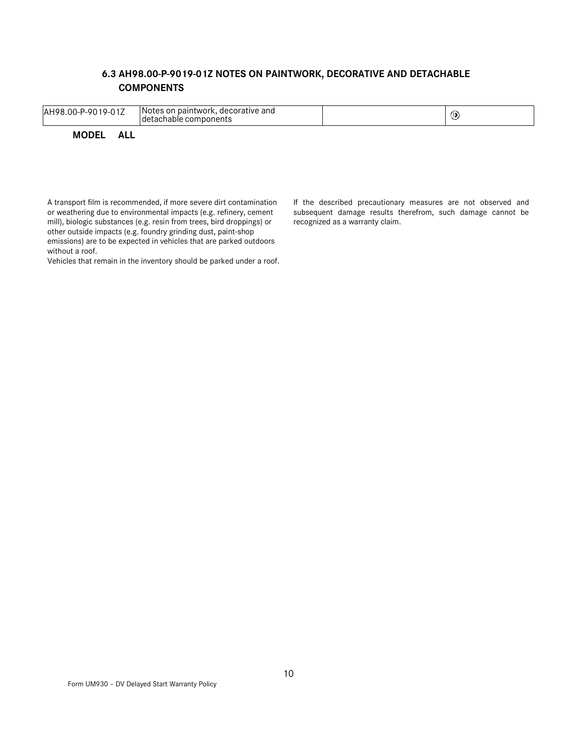# **6.3 AH98.00-P-9019-01Z NOTES ON PAINTWORK, DECORATIVE AND DETACHABLE COMPONENTS**

| AH98.00-P-9019-01Z  | Notes on paintwork, decorative and<br>detachable components | () |
|---------------------|-------------------------------------------------------------|----|
| <b>MODEL</b><br>ALL |                                                             |    |

A transport film is recommended, if more severe dirt contamination or weathering due to environmental impacts (e.g. refinery, cement mill), biologic substances (e.g. resin from trees, bird droppings) or other outside impacts (e.g. foundry grinding dust, paint-shop emissions) are to be expected in vehicles that are parked outdoors without a roof.

Vehicles that remain in the inventory should be parked under a roof.

If the described precautionary measures are not observed and subsequent damage results therefrom, such damage cannot be recognized as a warranty claim.